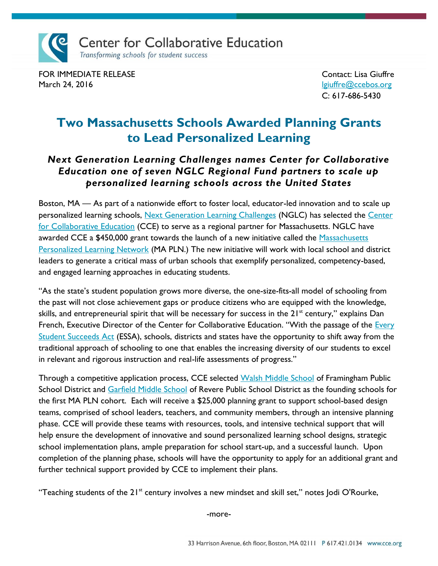

**Center for Collaborative Education** 

Transforming schools for student success

FOR IMMEDIATE RELEASE Contact: Lisa Giuffre March 24, 2016 **lgiuffre**@ccebos.org

C: 617-686-5430

## **Two Massachusetts Schools Awarded Planning Grants to Lead Personalized Learning**

## *Next Generation Learning Challenges names Center for Collaborative Education one of seven NGLC Regional Fund partners to scale up personalized learning schools across the United States*

Boston, MA — As part of a nationwide effort to foster local, educator-led innovation and to scale up personalized learning schools, [Next Generation Learning Challenges](http://nextgenlearning.org/) (NGLC) has selected the [Center](http://www.cce.org/)  [for Collaborative Education](http://www.cce.org/) (CCE) to serve as a regional partner for Massachusetts. NGLC have awarded CCE a \$450,000 grant towards the launch of a new initiative called the Massachusetts [Personalized Learning Network](http://www.cce.org/mapln) (MA PLN.) The new initiative will work with local school and district leaders to generate a critical mass of urban schools that exemplify personalized, competency-based, and engaged learning approaches in educating students.

"As the state's student population grows more diverse, the one-size-fits-all model of schooling from the past will not close achievement gaps or produce citizens who are equipped with the knowledge, skills, and entrepreneurial spirit that will be necessary for success in the  $21<sup>st</sup>$  century," explains Dan French, Executive Director of the Center for Collaborative Education. "With the passage of the **Every** [Student Succeeds Act](http://www.ed.gov/essa?src=rn) (ESSA), schools, districts and states have the opportunity to shift away from the traditional approach of schooling to one that enables the increasing diversity of our students to excel in relevant and rigorous instruction and real-life assessments of progress."

Through a competitive application process, CCE selected [Walsh Middle School](http://www.framingham.k12.ma.us/walsh.cfm) of Framingham Public School District and [Garfield Middle School](http://www.revereps.mec.edu/garfieldmiddleschool/) of Revere Public School District as the founding schools for the first MA PLN cohort. Each will receive a \$25,000 planning grant to support school-based design teams, comprised of school leaders, teachers, and community members, through an intensive planning phase. CCE will provide these teams with resources, tools, and intensive technical support that will help ensure the development of innovative and sound personalized learning school designs, strategic school implementation plans, ample preparation for school start-up, and a successful launch. Upon completion of the planning phase, schools will have the opportunity to apply for an additional grant and further technical support provided by CCE to implement their plans.

"Teaching students of the 21<sup>st</sup> century involves a new mindset and skill set," notes Jodi O'Rourke,

-more-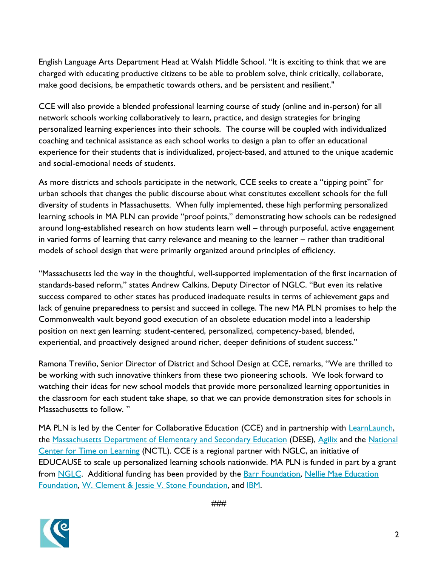English Language Arts Department Head at Walsh Middle School. "It is exciting to think that we are charged with educating productive citizens to be able to problem solve, think critically, collaborate, make good decisions, be empathetic towards others, and be persistent and resilient."

CCE will also provide a blended professional learning course of study (online and in-person) for all network schools working collaboratively to learn, practice, and design strategies for bringing personalized learning experiences into their schools. The course will be coupled with individualized coaching and technical assistance as each school works to design a plan to offer an educational experience for their students that is individualized, project-based, and attuned to the unique academic and social-emotional needs of students.

As more districts and schools participate in the network, CCE seeks to create a "tipping point" for urban schools that changes the public discourse about what constitutes excellent schools for the full diversity of students in Massachusetts. When fully implemented, these high performing personalized learning schools in MA PLN can provide "proof points," demonstrating how schools can be redesigned around long-established research on how students learn well – through purposeful, active engagement in varied forms of learning that carry relevance and meaning to the learner – rather than traditional models of school design that were primarily organized around principles of efficiency.

"Massachusetts led the way in the thoughtful, well-supported implementation of the first incarnation of standards-based reform," states Andrew Calkins, Deputy Director of NGLC. "But even its relative success compared to other states has produced inadequate results in terms of achievement gaps and lack of genuine preparedness to persist and succeed in college. The new MA PLN promises to help the Commonwealth vault beyond good execution of an obsolete education model into a leadership position on next gen learning: student-centered, personalized, competency-based, blended, experiential, and proactively designed around richer, deeper definitions of student success."

Ramona Treviño, Senior Director of District and School Design at CCE, remarks, "We are thrilled to be working with such innovative thinkers from these two pioneering schools. We look forward to watching their ideas for new school models that provide more personalized learning opportunities in the classroom for each student take shape, so that we can provide demonstration sites for schools in Massachusetts to follow. "

MA PLN is led by the Center for Collaborative Education (CCE) and in partnership with **LearnLaunch**, the [Massachusetts Department of Elementary and Secondary Education](http://www.doe.mass.edu/) (DESE), [Agilix](http://agilix.com/) and the National [Center for Time on Learning](http://www.timeandlearning.org/) (NCTL). CCE is a regional partner with NGLC, an initiative of EDUCAUSE to scale up personalized learning schools nationwide. MA PLN is funded in part by a grant from [NGLC.](http://nextgenlearning.org/) Additional funding has been provided by the [Barr Foundation,](https://www.barrfoundation.org/) [Nellie Mae Education](http://www.nmefoundation.org/)  [Foundation,](http://www.nmefoundation.org/) [W. Clement & Jessie V.](http://www.wcstonefnd.org/) Stone Foundation, and [IBM.](http://www.ibm.com/ibm/responsibility/initiatives/)